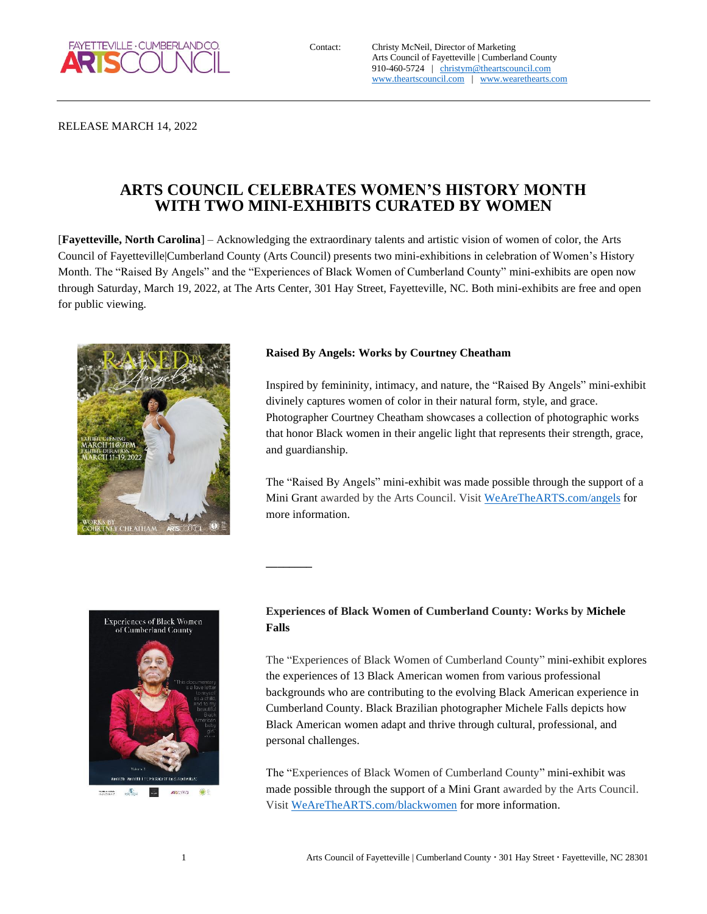

Contact: Christy McNeil, Director of Marketing Arts Council of Fayetteville | Cumberland County 910-460-5724 | [christym@theartscouncil.com](mailto:christym@theartscouncil.com) [www.theartscouncil.com](http://www.theartscouncil.com/) | [www.wearethearts.com](http://www.wearethearts.com/)

RELEASE MARCH 14, 2022

# **ARTS COUNCIL CELEBRATES WOMEN'S HISTORY MONTH WITH TWO MINI-EXHIBITS CURATED BY WOMEN**

[**Fayetteville, North Carolina**] – Acknowledging the extraordinary talents and artistic vision of women of color, the Arts Council of Fayetteville|Cumberland County (Arts Council) presents two mini-exhibitions in celebration of Women's History Month. The "Raised By Angels" and the "Experiences of Black Women of Cumberland County" mini-exhibits are open now through Saturday, March 19, 2022, at The Arts Center, 301 Hay Street, Fayetteville, NC. Both mini-exhibits are free and open for public viewing.

**\_\_\_\_\_\_\_\_**



#### **Raised By Angels: Works by Courtney Cheatham**

Inspired by femininity, intimacy, and nature, the "Raised By Angels" mini-exhibit divinely captures women of color in their natural form, style, and grace. Photographer Courtney Cheatham showcases a collection of photographic works that honor Black women in their angelic light that represents their strength, grace, and guardianship.

The "Raised By Angels" mini-exhibit was made possible through the support of a Mini Grant awarded by the Arts Council. Visit [WeAreTheARTS.com/angels](https://www.wearethearts.com/angels) for more information.



### **Experiences of Black Women of Cumberland County: Works by Michele Falls**

The "Experiences of Black Women of Cumberland County" mini-exhibit explores the experiences of 13 Black American women from various professional backgrounds who are contributing to the evolving Black American experience in Cumberland County. Black Brazilian photographer Michele Falls depicts how Black American women adapt and thrive through cultural, professional, and personal challenges.

The "Experiences of Black Women of Cumberland County" mini-exhibit was made possible through the support of a Mini Grant awarded by the Arts Council. Visit [WeAreTheARTS.com/blackwomen](https://www.wearethearts.com/blackwomen) for more information.